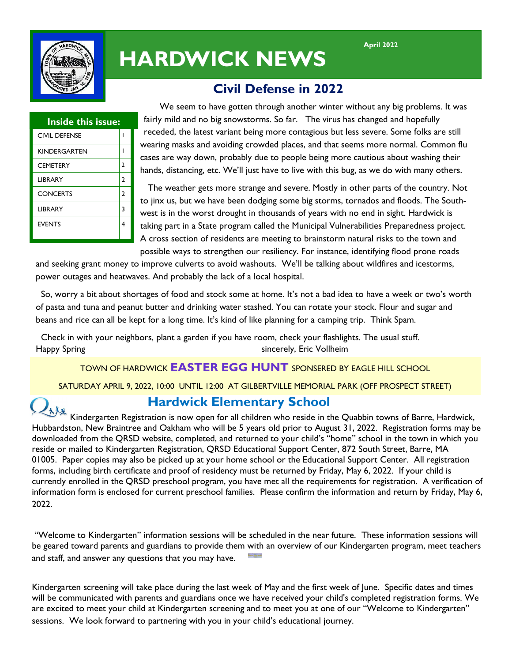

# **HARDWICK NEWS**

# **Civil Defense in 2022**

| <b>Inside this issue:</b> |  |
|---------------------------|--|
|                           |  |
|                           |  |
| 2                         |  |
| 2                         |  |
| $\overline{2}$            |  |
| 3                         |  |
|                           |  |
|                           |  |

 We seem to have gotten through another winter without any big problems. It was fairly mild and no big snowstorms. So far. The virus has changed and hopefully receded, the latest variant being more contagious but less severe. Some folks are still wearing masks and avoiding crowded places, and that seems more normal. Common flu cases are way down, probably due to people being more cautious about washing their hands, distancing, etc. We'll just have to live with this bug, as we do with many others.

 The weather gets more strange and severe. Mostly in other parts of the country. Not to jinx us, but we have been dodging some big storms, tornados and floods. The Southwest is in the worst drought in thousands of years with no end in sight. Hardwick is taking part in a State program called the Municipal Vulnerabilities Preparedness project. A cross section of residents are meeting to brainstorm natural risks to the town and possible ways to strengthen our resiliency. For instance, identifying flood prone roads

and seeking grant money to improve culverts to avoid washouts. We'll be talking about wildfires and icestorms, power outages and heatwaves. And probably the lack of a local hospital.

 So, worry a bit about shortages of food and stock some at home. It's not a bad idea to have a week or two's worth of pasta and tuna and peanut butter and drinking water stashed. You can rotate your stock. Flour and sugar and beans and rice can all be kept for a long time. It's kind of like planning for a camping trip. Think Spam.

 Check in with your neighbors, plant a garden if you have room, check your flashlights. The usual stuff. Happy Spring sincerely, Eric Vollheim

## TOWN OF HARDWICK **EASTER EGG HUNT** SPONSERED BY EAGLE HILL SCHOOL

SATURDAY APRIL 9, 2022, 10:00 UNTIL 12:00 AT GILBERTVILLE MEMORIAL PARK (OFF PROSPECT STREET)

# **Hardwick Elementary School**

Kindergarten Registration is now open for all children who reside in the Quabbin towns of Barre, Hardwick,<br>Kindergarten Registration is now open for all children who reside in the Quabbin towns of Barre, Hardwick, Hubbardston, New Braintree and Oakham who will be 5 years old prior to August 31, 2022. Registration forms may be downloaded from the QRSD website, completed, and returned to your child's "home" school in the town in which you reside or mailed to Kindergarten Registration, QRSD Educational Support Center, 872 South Street, Barre, MA 01005. Paper copies may also be picked up at your home school or the Educational Support Center. All registration forms, including birth certificate and proof of residency must be returned by Friday, May 6, 2022. If your child is currently enrolled in the QRSD preschool program, you have met all the requirements for registration. A verification of information form is enclosed for current preschool families. Please confirm the information and return by Friday, May 6, 2022.

"Welcome to Kindergarten" information sessions will be scheduled in the near future. These information sessions will be geared toward parents and guardians to provide them with an overview of our Kindergarten program, meet teachers and staff, and answer any questions that you may have.

Kindergarten screening will take place during the last week of May and the first week of June. Specific dates and times will be communicated with parents and guardians once we have received your child's completed registration forms. We are excited to meet your child at Kindergarten screening and to meet you at one of our "Welcome to Kindergarten" sessions. We look forward to partnering with you in your child's educational journey.

**April 2022**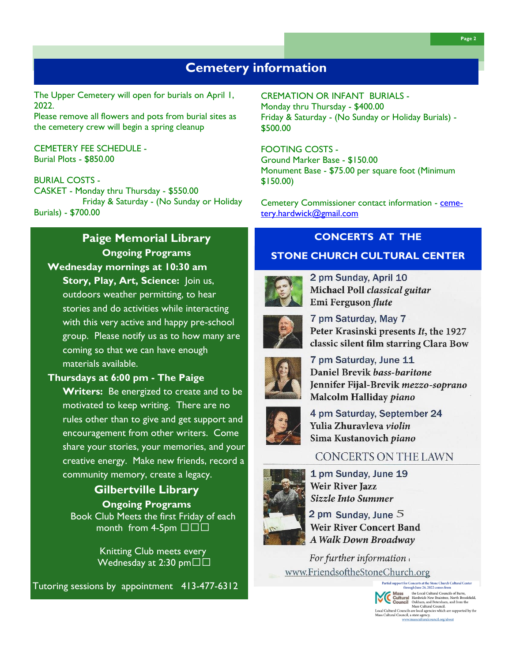The Upper Cemetery will open for burials on April 1, 2022.

Please remove all flowers and pots from burial sites as the cemetery crew will begin a spring cleanup

### CEMETERY FEE SCHEDULE - Burial Plots - \$850.00

### BURIAL COSTS -

CASKET - Monday thru Thursday - \$550.00 Friday & Saturday - (No Sunday or Holiday Burials) - \$700.00

# **Paige Memorial Library Ongoing Programs Wednesday mornings at 10:30 am**

**Story, Play, Art, Science:** Join us, outdoors weather permitting, to hear stories and do activities while interacting with this very active and happy pre-school group. Please notify us as to how many are coming so that we can have enough materials available.

## **Thursdays at 6:00 pm - The Paige**

**Writers:** Be energized to create and to be motivated to keep writing. There are no rules other than to give and get support and encouragement from other writers. Come share your stories, your memories, and your creative energy. Make new friends, record a community memory, create a legacy.

# **Gilbertville Library Ongoing Programs**

 Book Club Meets the first Friday of each month from 4-5pm □□□

> Knitting Club meets every Wednesday at 2:30 pm□□

Tutoring sessions by appointment 413-477-6312

# CREMATION OR INFANT BURIALS - Monday thru Thursday - \$400.00

Friday & Saturday - (No Sunday or Holiday Burials) - \$500.00

### FOOTING COSTS -

Ground Marker Base - \$150.00 Monument Base - \$75.00 per square foot (Minimum \$150.00)

Cemetery Commissioner contact information - [ceme](mailto:cemetery.hardwick@gmail.com)[tery.hardwick@gmail.com](mailto:cemetery.hardwick@gmail.com)

# **CONCERTS AT THE**

## **STONE CHURCH CULTURAL CENTER**



2 pm Sunday, April 10 Michael Poll classical guitar Emi Ferguson flute



7 pm Saturday, May 7 Peter Krasinski presents It, the 1927 classic silent film starring Clara Bow



7 pm Saturday, June 11 Daniel Brevik bass-baritone Jennifer Fijal-Brevik mezzo-soprano Malcolm Halliday piano



4 pm Saturday, September 24 Yulia Zhuravleva violin Sima Kustanovich piano

# CONCERTS ON THE LAWN

1 pm Sunday, June 19 **Weir River Jazz Sizzle Into Summer** 

2 pm Sunday, June  $5$ **Weir River Concert Band A Walk Down Broadway** 

For further information www.FriendsoftheStoneChurch.org

Partial support for Concerts at the Stone Church Cultural Center<br>through June 26, 2022 comes from

International the Local Cultural Councils of Barre,<br> **Mass** the Local Cultural Councils of Barre,<br> **Council** Council Councils of Barre,<br>
Local Cultural Hardwick-New Braintere, North Brookfield,<br>
Local Cultural Councils are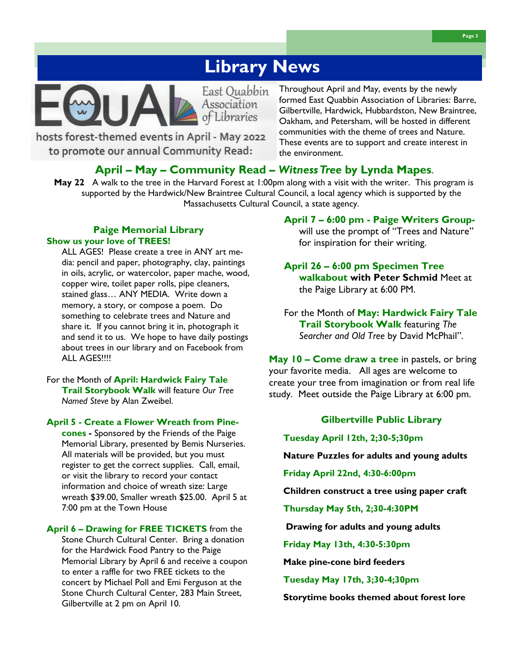# **Library News**

East Quabbin Association Libraries

hosts forest-themed events in April - May 2022 to promote our annual Community Read:

Throughout April and May, events by the newly formed East Quabbin Association of Libraries: Barre, Gilbertville, Hardwick, Hubbardston, New Braintree, Oakham, and Petersham, will be hosted in different communities with the theme of trees and Nature. These events are to support and create interest in the environment.

### **April – May – Community Read –** *Witness Tree* **by Lynda Mapes**.

**May 22** A walk to the tree in the Harvard Forest at 1:00pm along with a visit with the writer. This program is supported by the Hardwick/New Braintree Cultural Council, a local agency which is supported by the Massachusetts Cultural Council, a state agency.

### **Paige Memorial Library Show us your love of TREES!**

ALL AGES! Please create a tree in ANY art media: pencil and paper, photography, clay, paintings in oils, acrylic, or watercolor, paper mache, wood, copper wire, toilet paper rolls, pipe cleaners, stained glass… ANY MEDIA. Write down a memory, a story, or compose a poem. Do something to celebrate trees and Nature and share it. If you cannot bring it in, photograph it and send it to us. We hope to have daily postings about trees in our library and on Facebook from ALL AGES!!!!

For the Month of **April: Hardwick Fairy Tale Trail Storybook Walk** will feature *Our Tree Named Steve* by Alan Zweibel.

### **April 5 - Create a Flower Wreath from Pine-**

**cones -** Sponsored by the Friends of the Paige Memorial Library, presented by Bemis Nurseries. All materials will be provided, but you must register to get the correct supplies. Call, email, or visit the library to record your contact information and choice of wreath size: Large wreath \$39.00, Smaller wreath \$25.00. April 5 at 7:00 pm at the Town House

**April 6 – Drawing for FREE TICKETS** from the Stone Church Cultural Center. Bring a donation for the Hardwick Food Pantry to the Paige Memorial Library by April 6 and receive a coupon to enter a raffle for two FREE tickets to the concert by Michael Poll and Emi Ferguson at the Stone Church Cultural Center, 283 Main Street, Gilbertville at 2 pm on April 10.

### **April 7 – 6:00 pm - Paige Writers Group-**

will use the prompt of "Trees and Nature" for inspiration for their writing.

**April 26 – 6:00 pm Specimen Tree walkabout with Peter Schmid** Meet at the Paige Library at 6:00 PM.

For the Month of **May: Hardwick Fairy Tale Trail Storybook Walk** featuring *The Searcher and Old Tree* by David McPhail".

**May 10 – Come draw a tree** in pastels, or bring your favorite media. All ages are welcome to create your tree from imagination or from real life study. Meet outside the Paige Library at 6:00 pm.

### **Gilbertville Public Library**

**Tuesday April 12th, 2;30-5;30pm**

**Nature Puzzles for adults and young adults**

**Friday April 22nd, 4:30-6:00pm**

**Children construct a tree using paper craft**

**Thursday May 5th, 2;30-4:30PM**

**Drawing for adults and young adults** 

**Friday May 13th, 4:30-5:30pm**

**Make pine-cone bird feeders**

**Tuesday May 17th, 3;30-4;30pm**

**Storytime books themed about forest lore**